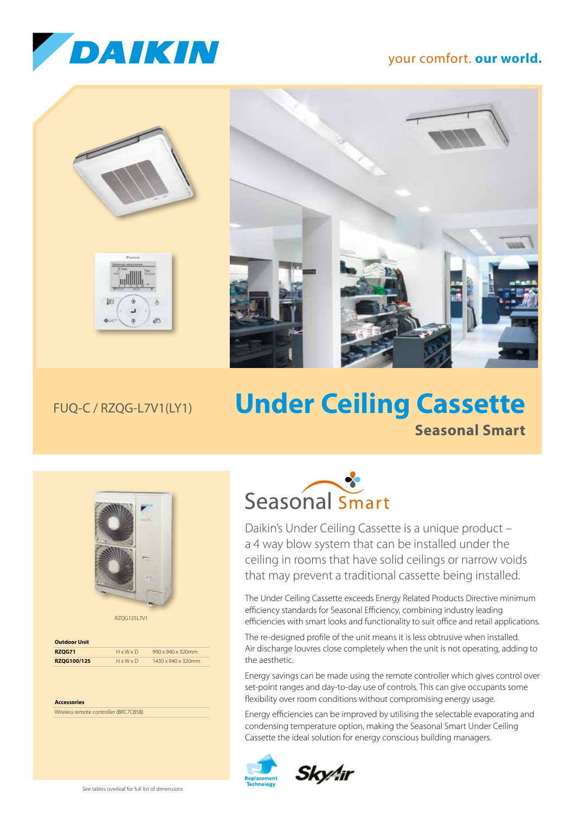

## your comfort. **our world.**





## FUQ-C / RZQG-L7V1(LY1)

## **Under Ceiling Cassette Seasonal Smart**



RZQG125L7V1

| <b>Outdoor Unit</b> |                       |                    |  |  |  |
|---------------------|-----------------------|--------------------|--|--|--|
| <b>RZOG71</b>       | $H \times W \times D$ | 990 x 940 x 320mm  |  |  |  |
| RZOG100/125         | $H \times W \times D$ | 1430 x 940 x 320mm |  |  |  |

**Accessories** Wireless remote controller (BRC7CB58)



Daikin's Under Ceiling Cassette is a unique product – a 4 way blow system that can be installed under the ceiling in rooms that have solid ceilings or narrow voids that may prevent a traditional cassette being installed.

The Under Ceiling Cassette exceeds Energy Related Products Directive minimum efficiency standards for Seasonal Efficiency, combining industry leading efficiencies with smart looks and functionality to suit office and retail applications.

The re-designed profile of the unit means it is less obtrusive when installed. Air discharge louvres close completely when the unit is not operating, adding to the aesthetic.

Energy savings can be made using the remote controller which gives control over set-point ranges and day-to-day use of controls. This can give occupants some flexibility over room conditions without compromising energy usage.

Energy efficiencies can be improved by utilising the selectable evaporating and condensing temperature option, making the Seasonal Smart Under Ceiling Cassette the ideal solution for energy conscious building managers.